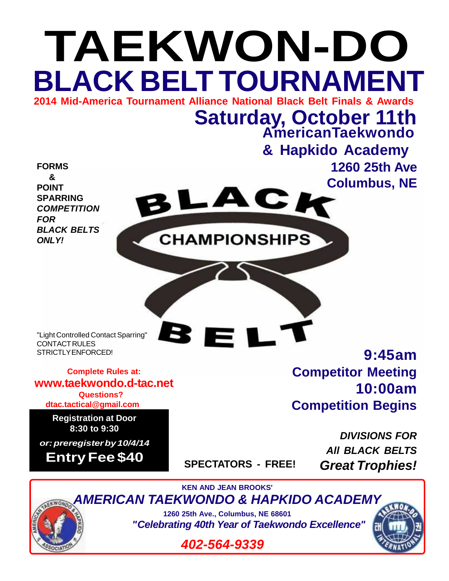

*402-564-9339*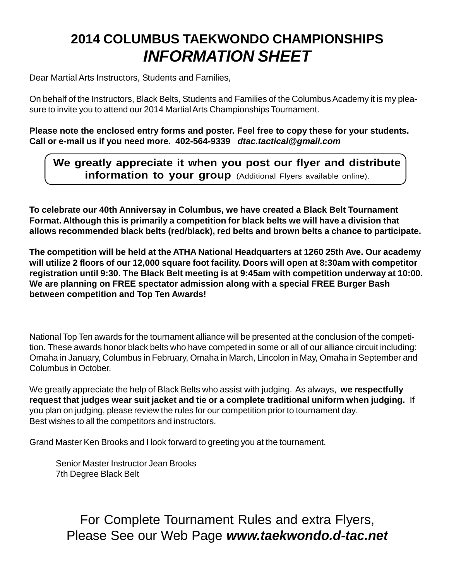## **2014 COLUMBUS TAEKWONDO CHAMPIONSHIPS** *INFORMATION SHEET*

Dear Martial Arts Instructors, Students and Families,

On behalf of the Instructors, Black Belts, Students and Families of the Columbus Academy it is my pleasure to invite you to attend our 2014 Martial Arts Championships Tournament.

**Please note the enclosed entry forms and poster. Feel free to copy these for your students. Call or e-mail us if you need more. 402-564-9339** *dtac.tactical@gmail.com*

## **We greatly appreciate it when you post our flyer and distribute information to your group** (Additional Flyers available online).

**To celebrate our 40th Anniversay in Columbus, we have created a Black Belt Tournament Format. Although this is primarily a competition for black belts we will have a division that allows recommended black belts (red/black), red belts and brown belts a chance to participate.**

**The competition will be held at the ATHA National Headquarters at 1260 25th Ave. Our academy will utilize 2 floors of our 12,000 square foot facility. Doors will open at 8:30am with competitor registration until 9:30. The Black Belt meeting is at 9:45am with competition underway at 10:00. We are planning on FREE spectator admission along with a special FREE Burger Bash between competition and Top Ten Awards!**

National Top Ten awards for the tournament alliance will be presented at the conclusion of the competition. These awards honor black belts who have competed in some or all of our alliance circuit including: Omaha in January, Columbus in February, Omaha in March, Lincolon in May, Omaha in September and Columbus in October.

We greatly appreciate the help of Black Belts who assist with judging. As always, **we respectfully request that judges wear suit jacket and tie or a complete traditional uniform when judging.** If you plan on judging, please review the rules for our competition prior to tournament day. Best wishes to all the competitors and instructors.

Grand Master Ken Brooks and I look forward to greeting you at the tournament.

Senior Master Instructor Jean Brooks 7th Degree Black Belt

For Complete Tournament Rules and extra Flyers, Please See our Web Page *www.taekwondo.d-tac.net*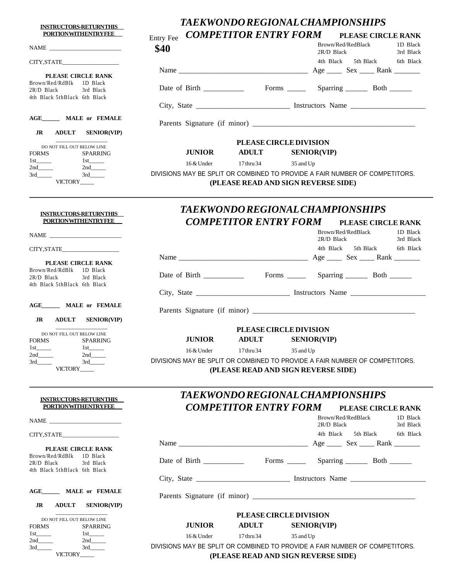**INSTRUCTORS-RETURN THIS PORTION WITHENTRY FEE** 

## *TAEKWONDO REGIONAL CHAMPIONSHIPS COMPETITOR ENTRY FORM* **PLEASE CIRCLE RANK**

| <u>I UNIIUN WIIHENIIN I FEE</u>                                                 | COMPETITOR ENTRI PORM PLEASE CIRCLE RANK<br><b>Entry Fee</b>                                 |
|---------------------------------------------------------------------------------|----------------------------------------------------------------------------------------------|
|                                                                                 | Brown/Red/RedBlack<br>1D Black<br>\$40<br>2R/D Black<br>3rd Black                            |
| CITY, STATE                                                                     | 4th Black<br>5th Black<br>6th Black                                                          |
| PLEASE CIRCLE RANK                                                              |                                                                                              |
| Brown/Red/RdBlk 1D Black<br>$2R/D$ Black<br>3rd Black                           |                                                                                              |
| 4th Black 5thBlack 6th Black                                                    |                                                                                              |
| AGE MALE or FEMALE                                                              |                                                                                              |
|                                                                                 |                                                                                              |
| <b>ADULT SENIOR(VIP)</b><br>JR                                                  |                                                                                              |
| DO NOT FILL OUT BELOW LINE                                                      | PLEASE CIRCLE DIVISION                                                                       |
| <b>FORMS</b><br>SPARRING<br>$1st$ <sub>_______</sub>                            | <b>ADULT</b><br><b>JUNIOR</b><br><b>SENIOR(VIP)</b><br>17 thru 34<br>16 & Under<br>35 and Up |
| $2nd$ <sub>_____</sub>                                                          | DIVISIONS MAY BE SPLIT OR COMBINED TO PROVIDE A FAIR NUMBER OF COMPETITORS.                  |
| 3rd<br>VICTORY_____                                                             | (PLEASE READ AND SIGN REVERSE SIDE)                                                          |
|                                                                                 | <b>TAEKWONDO REGIONAL CHAMPIONSHIPS</b>                                                      |
| <b>INSTRUCTORS-RETURNTHIS</b><br><b>PORTIONWITHENTRYFEE</b>                     | <b>COMPETITOR ENTRY FORM</b><br>PLEASE CIRCLE RANK                                           |
|                                                                                 | Brown/Red/RedBlack<br>1D Black                                                               |
|                                                                                 | 2R/D Black<br>3rd Black                                                                      |
| CITY, STATE                                                                     | 4th Black 5th Black<br>6th Black                                                             |
| PLEASE CIRCLE RANK                                                              |                                                                                              |
| Brown/Red/RdBlk 1D Black<br>$2R/D$ Black<br>3rd Black                           |                                                                                              |
| 4th Black 5thBlack 6th Black<br>AGE_______ MALE or FEMALE                       |                                                                                              |
|                                                                                 |                                                                                              |
| JR<br><b>ADULT SENIOR(VIP)</b>                                                  |                                                                                              |
|                                                                                 | PLEASE CIRCLE DIVISION                                                                       |
| DO NOT FILL OUT BELOW LINE<br><b>FORMS</b><br><b>SPARRING</b>                   | <b>SENIOR(VIP)</b><br><b>JUNIOR</b><br><b>ADULT</b>                                          |
| $1st$ <sub>_______</sub><br>$1st$ <sub>______</sub>                             | 17 thru 34<br>16 & Under<br>35 and Up                                                        |
| $2nd$ <sub>_____</sub><br>$2nd$ and $\qquad$<br>3rd<br>3rd                      | DIVISIONS MAY BE SPLIT OR COMBINED TO PROVIDE A FAIR NUMBER OF COMPETITORS.                  |
| VICTORY                                                                         | (PLEASE READ AND SIGN REVERSE SIDE)                                                          |
|                                                                                 |                                                                                              |
| <b>INSTRUCTORS-RETURNTHIS</b>                                                   | <i><b>TAEKWONDO REGIONAL CHAMPIONSHIPS</b></i>                                               |
| <b>PORTIONWITHENTRYFEE</b>                                                      | <b>COMPETITOR ENTRY FORM</b><br>PLEASE CIRCLE RANK                                           |
|                                                                                 | Brown/Red/RedBlack<br>1D Black<br>2R/D Black<br>3rd Black                                    |
| CITY, STATE                                                                     | 4th Black 5th Black<br>6th Black                                                             |
| PLEASE CIRCLE RANK                                                              |                                                                                              |
| Brown/Red/RdBlk<br>1D Black<br>$2R/D$ Black<br>3rd Black                        |                                                                                              |
| 4th Black 5thBlack 6th Black                                                    | City, State __________________________________ Instructors Name _________________            |
| AGE________ MALE or FEMALE                                                      |                                                                                              |
|                                                                                 |                                                                                              |
| <b>ADULT</b><br>JR<br><b>SENIOR(VIP)</b>                                        |                                                                                              |
| DO NOT FILL OUT BELOW LINE                                                      | <b>PLEASE CIRCLE DIVISION</b><br><b>JUNIOR</b><br><b>ADULT</b>                               |
| <b>FORMS</b><br>SPARRING<br>$1st$ <sub>______</sub><br>$1st$ <sub>_______</sub> | <b>SENIOR(VIP)</b>                                                                           |
| 2nd                                                                             | 16 & Under<br>17 thru 34<br>35 and Up                                                        |
| 3rd<br>3rd<br>VICTORY____                                                       | DIVISIONS MAY BE SPLIT OR COMBINED TO PROVIDE A FAIR NUMBER OF COMPETITORS.                  |